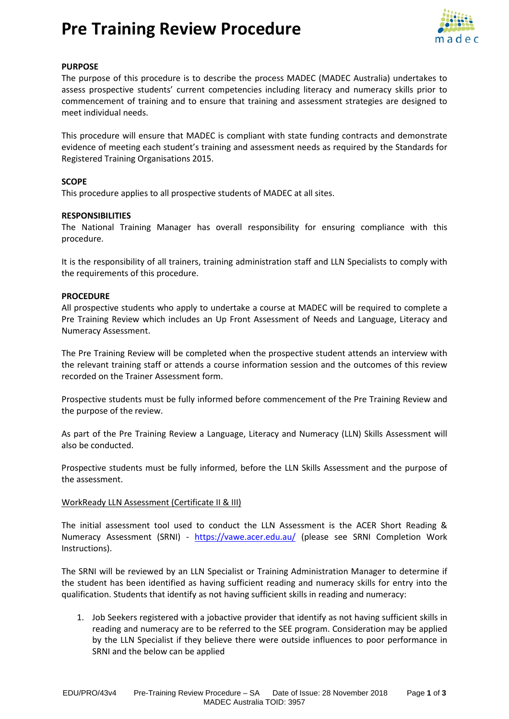### **Pre Training Review Procedure**



#### **PURPOSE**

The purpose of this procedure is to describe the process MADEC (MADEC Australia) undertakes to assess prospective students' current competencies including literacy and numeracy skills prior to commencement of training and to ensure that training and assessment strategies are designed to meet individual needs.

This procedure will ensure that MADEC is compliant with state funding contracts and demonstrate evidence of meeting each student's training and assessment needs as required by the Standards for Registered Training Organisations 2015.

#### **SCOPE**

This procedure applies to all prospective students of MADEC at all sites.

#### **RESPONSIBILITIES**

The National Training Manager has overall responsibility for ensuring compliance with this procedure.

It is the responsibility of all trainers, training administration staff and LLN Specialists to comply with the requirements of this procedure.

#### **PROCEDURE**

All prospective students who apply to undertake a course at MADEC will be required to complete a Pre Training Review which includes an Up Front Assessment of Needs and Language, Literacy and Numeracy Assessment.

The Pre Training Review will be completed when the prospective student attends an interview with the relevant training staff or attends a course information session and the outcomes of this review recorded on th[e Trainer Assessment form.](http://dekiwiki/@api/deki/files/7362/=Pre-Training_Review.pdf)

Prospective students must be fully informed before commencement of the Pre Training Review and the purpose of the review.

As part of the Pre Training Review a Language, Literacy and Numeracy (LLN) Skills Assessment will also be conducted.

Prospective students must be fully informed, before the LLN Skills Assessment and the purpose of the assessment.

#### WorkReady LLN Assessment (Certificate II & III)

The initial assessment tool used to conduct the LLN Assessment is the ACER Short Reading & Numeracy Assessment (SRNI) - <https://vawe.acer.edu.au/> (please see SRNI Completion Work Instructions).

The SRNI will be reviewed by an LLN Specialist or Training Administration Manager to determine if the student has been identified as having sufficient reading and numeracy skills for entry into the qualification. Students that identify as not having sufficient skills in reading and numeracy:

1. Job Seekers registered with a jobactive provider that identify as not having sufficient skills in reading and numeracy are to be referred to the SEE program. Consideration may be applied by the LLN Specialist if they believe there were outside influences to poor performance in SRNI and the below can be applied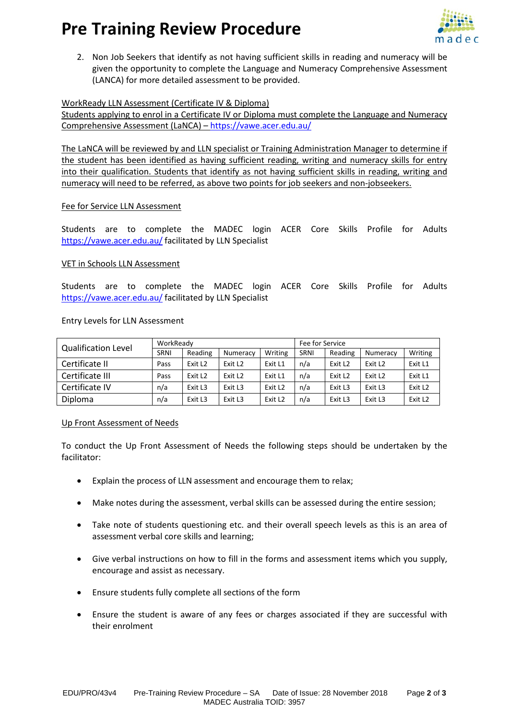## **Pre Training Review Procedure**



2. Non Job Seekers that identify as not having sufficient skills in reading and numeracy will be given the opportunity to complete the Language and Numeracy Comprehensive Assessment (LANCA) for more detailed assessment to be provided.

#### WorkReady LLN Assessment (Certificate IV & Diploma)

Students applying to enrol in a Certificate IV or Diploma must complete the Language and Numeracy Comprehensive Assessment (LaNCA) – <https://vawe.acer.edu.au/>

The LaNCA will be reviewed by and LLN specialist or Training Administration Manager to determine if the student has been identified as having sufficient reading, writing and numeracy skills for entry into their qualification. Students that identify as not having sufficient skills in reading, writing and numeracy will need to be referred, as above two points for job seekers and non-jobseekers.

#### Fee for Service LLN Assessment

Students are to complete the MADEC login ACER Core Skills Profile for Adults <https://vawe.acer.edu.au/> facilitated by LLN Specialist

#### VET in Schools LLN Assessment

Students are to complete the MADEC login ACER Core Skills Profile for Adults <https://vawe.acer.edu.au/> facilitated by LLN Specialist

#### Entry Levels for LLN Assessment

| <b>Qualification Level</b> | WorkReady |                     |                     |                     | Fee for Service |         |                     |                     |
|----------------------------|-----------|---------------------|---------------------|---------------------|-----------------|---------|---------------------|---------------------|
|                            | SRNI      | Reading             | Numeracy            | Writing             | SRNI            | Reading | Numeracy            | Writing             |
| Certificate II             | Pass      | Exit L <sub>2</sub> | Exit L <sub>2</sub> | Exit L1             | n/a             | Exit L2 | Exit L <sub>2</sub> | Exit L1             |
| Certificate III            | Pass      | Exit L <sub>2</sub> | Exit L <sub>2</sub> | Exit L1             | n/a             | Exit L2 | Exit L <sub>2</sub> | Exit L1             |
| Certificate IV             | n/a       | Exit L3             | Exit L3             | Exit L <sub>2</sub> | n/a             | Exit L3 | Exit L3             | Exit L <sub>2</sub> |
| Diploma                    | n/a       | Exit L3             | Exit L3             | Exit L <sub>2</sub> | n/a             | Exit L3 | Exit L3             | Exit L <sub>2</sub> |

#### Up Front Assessment of Needs

To conduct the Up Front Assessment of Needs the following steps should be undertaken by the facilitator:

- Explain the process of LLN assessment and encourage them to relax;
- Make notes during the assessment, verbal skills can be assessed during the entire session;
- Take note of students questioning etc. and their overall speech levels as this is an area of assessment verbal core skills and learning;
- Give verbal instructions on how to fill in the forms and assessment items which you supply, encourage and assist as necessary.
- Ensure students fully complete all sections of the form
- Ensure the student is aware of any fees or charges associated if they are successful with their enrolment